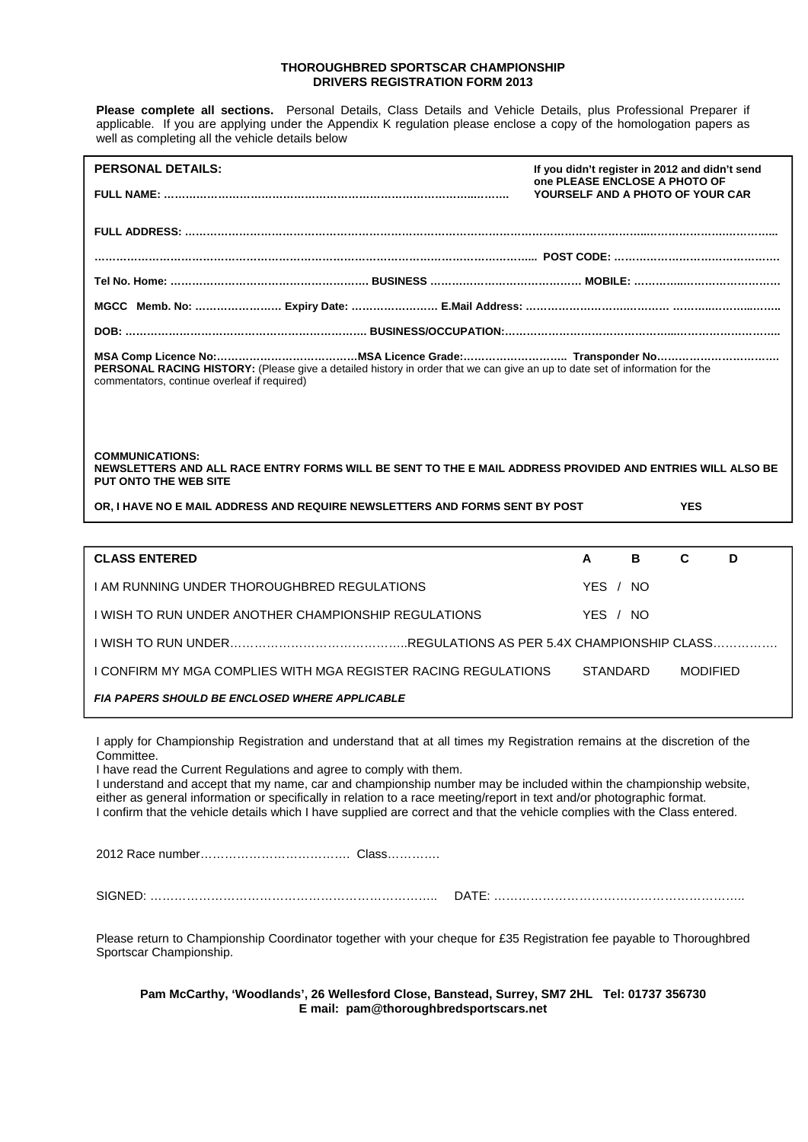## **THOROUGHBRED SPORTSCAR CHAMPIONSHIP DRIVERS REGISTRATION FORM 2013**

**Please complete all sections.** Personal Details, Class Details and Vehicle Details, plus Professional Preparer if applicable. If you are applying under the Appendix K regulation please enclose a copy of the homologation papers as well as completing all the vehicle details below

| <b>PERSONAL DETAILS:</b>                                                                                                                                                    | If you didn't register in 2012 and didn't send<br>one PLEASE ENCLOSE A PHOTO OF |
|-----------------------------------------------------------------------------------------------------------------------------------------------------------------------------|---------------------------------------------------------------------------------|
|                                                                                                                                                                             | YOURSELF AND A PHOTO OF YOUR CAR                                                |
|                                                                                                                                                                             |                                                                                 |
|                                                                                                                                                                             |                                                                                 |
|                                                                                                                                                                             |                                                                                 |
|                                                                                                                                                                             |                                                                                 |
|                                                                                                                                                                             |                                                                                 |
| PERSONAL RACING HISTORY: (Please give a detailed history in order that we can give an up to date set of information for the<br>commentators, continue overleaf if required) |                                                                                 |
|                                                                                                                                                                             |                                                                                 |

**COMMUNICATIONS: NEWSLETTERS AND ALL RACE ENTRY FORMS WILL BE SENT TO THE E MAIL ADDRESS PROVIDED AND ENTRIES WILL ALSO BE PUT ONTO THE WEB SITE** 

| OR. I HAVE NO E MAIL ADDRESS AND REQUIRE NEWSLETTERS AND FORMS SENT BY POST<br><b>YES</b> |
|-------------------------------------------------------------------------------------------|
|-------------------------------------------------------------------------------------------|

| <b>CLASS ENTERED</b>                                                                    | A        | в   | C               | D |
|-----------------------------------------------------------------------------------------|----------|-----|-----------------|---|
| I AM RUNNING UNDER THOROUGHBRED REGULATIONS                                             | YES /    | NO. |                 |   |
| I WISH TO RUN UNDER ANOTHER CHAMPIONSHIP REGULATIONS                                    | YES / NO |     |                 |   |
| <u>UMISH TO RUN UNDER……………………………………REGULATIONS AS PER 5.4X CHAMPIONSHIP CLASS………………</u> |          |     |                 |   |
| I CONFIRM MY MGA COMPLIES WITH MGA REGISTER RACING REGULATIONS.                         | STANDARD |     | <b>MODIFIED</b> |   |
| <b>FIA PAPERS SHOULD BE ENCLOSED WHERE APPLICABLE</b>                                   |          |     |                 |   |

I apply for Championship Registration and understand that at all times my Registration remains at the discretion of the Committee.

I have read the Current Regulations and agree to comply with them.

I understand and accept that my name, car and championship number may be included within the championship website, either as general information or specifically in relation to a race meeting/report in text and/or photographic format. I confirm that the vehicle details which I have supplied are correct and that the vehicle complies with the Class entered.

2012 Race number………………………………. Class………….

SIGNED: …………………………………………………………….. DATE: ……………………………………………………..

Please return to Championship Coordinator together with your cheque for £35 Registration fee payable to Thoroughbred Sportscar Championship.

**Pam McCarthy, 'Woodlands', 26 Wellesford Close, Banstead, Surrey, SM7 2HL Tel: 01737 356730 E mail: pam@thoroughbredsportscars.net**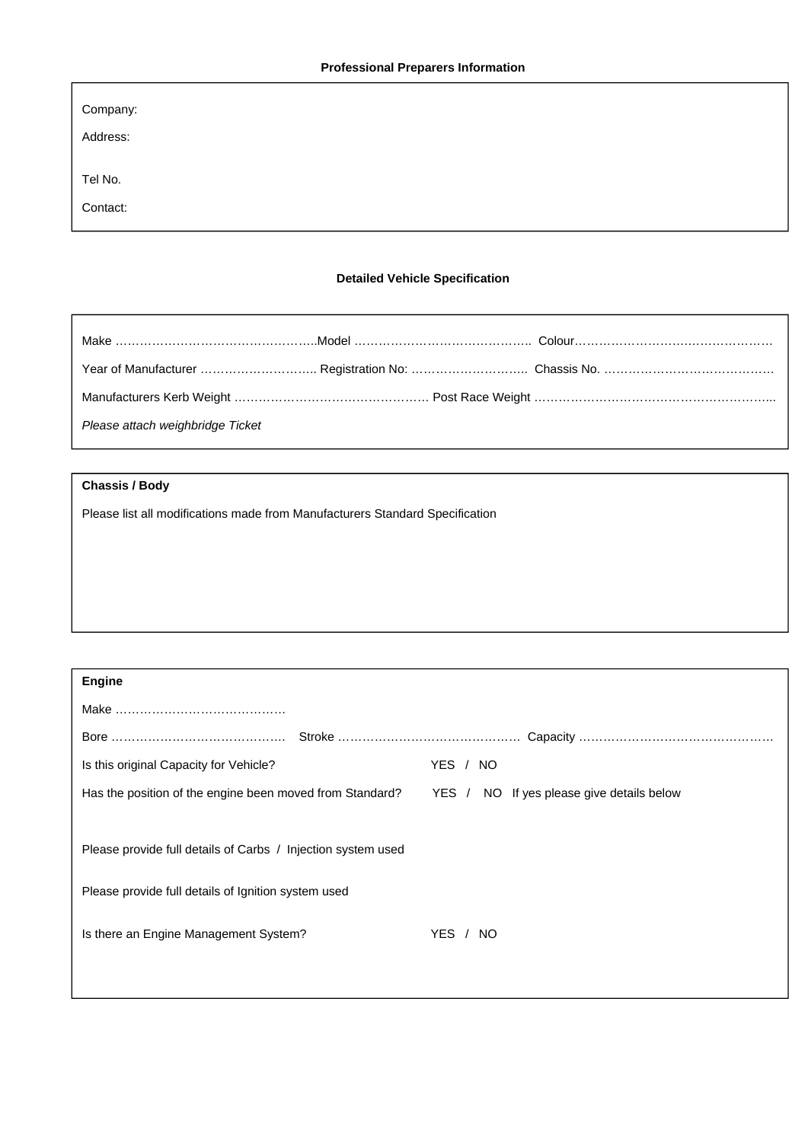| Company: |  |  |
|----------|--|--|
| Address: |  |  |
| Tel No.  |  |  |
| Contact: |  |  |

## **Detailed Vehicle Specification**

| Please attach weighbridge Ticket |  |
|----------------------------------|--|

## **Chassis / Body**

Please list all modifications made from Manufacturers Standard Specification

| <b>Engine</b>                                                |                                           |
|--------------------------------------------------------------|-------------------------------------------|
|                                                              |                                           |
|                                                              |                                           |
| Is this original Capacity for Vehicle?                       | YES /<br>NO.                              |
| Has the position of the engine been moved from Standard?     | YES / NO If yes please give details below |
|                                                              |                                           |
| Please provide full details of Carbs / Injection system used |                                           |
|                                                              |                                           |
| Please provide full details of Ignition system used          |                                           |
| Is there an Engine Management System?                        | YES /<br>NO.                              |
|                                                              |                                           |
|                                                              |                                           |